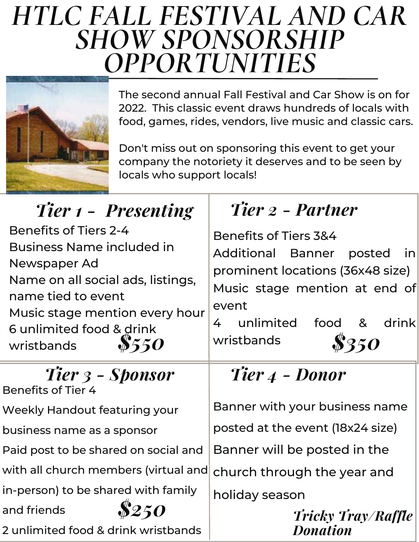## *HTLC FALL FESTIVAL AND CAR SHOW SPONSORSHIP OPPORTUNITIES*



The second annual Fall Festival and Car Show is on for 2022. This classic event draws hundreds of locals with food, games, rides, vendors, live music and classic cars.

Don't miss out on sponsoring this event to get your company the notoriety it deserves and to be seen by locals who support locals!

| Tier 1 - Presenting                                                                                                                                                                                                             | Tier 2 - Partner                                                                                                                                                                                                        |
|---------------------------------------------------------------------------------------------------------------------------------------------------------------------------------------------------------------------------------|-------------------------------------------------------------------------------------------------------------------------------------------------------------------------------------------------------------------------|
| <b>Benefits of Tiers 2-4</b><br><b>Business Name included in</b><br>Newspaper Ad<br>Name on all social ads, listings,<br>name tied to event<br>Music stage mention every hour<br>6 unlimited food & drink<br>8550<br>wristbands | <b>Benefits of Tiers 3&amp;4</b><br><b>Additional Banner</b><br>posted<br>inl<br>prominent locations (36x48 size)<br>Music stage mention at end of<br>event<br>food &<br>unlimited<br>drink<br>4<br>\$350<br>wristbands |
| Tier 3 - Sponsor<br><b>Benefits of Tier 4</b>                                                                                                                                                                                   | Tier 4 - Donor                                                                                                                                                                                                          |
| <b>Weekly Handout featuring your</b>                                                                                                                                                                                            | Banner with your business name                                                                                                                                                                                          |
| business name as a sponsor                                                                                                                                                                                                      | posted at the event (18x24 size)                                                                                                                                                                                        |
| Paid post to be shared on social and                                                                                                                                                                                            | Banner will be posted in the                                                                                                                                                                                            |
| with all church members (virtual and                                                                                                                                                                                            | church through the year and                                                                                                                                                                                             |
| in-person) to be shared with family                                                                                                                                                                                             | holiday season                                                                                                                                                                                                          |
| \$250<br>and friends<br>2 unlimited food & drink wristbands                                                                                                                                                                     | <b>Tricky Tray/Raffle</b><br><b>Donation</b>                                                                                                                                                                            |